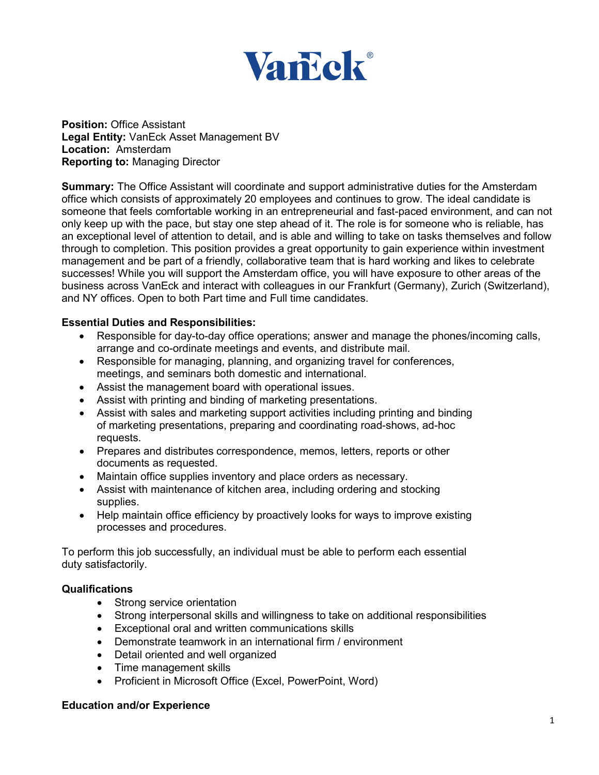

**Position: Office Assistant Legal Entity:** VanEck Asset Management BV **Location:** Amsterdam **Reporting to:** Managing Director

**Summary:** The Office Assistant will coordinate and support administrative duties for the Amsterdam office which consists of approximately 20 employees and continues to grow. The ideal candidate is someone that feels comfortable working in an entrepreneurial and fast-paced environment, and can not only keep up with the pace, but stay one step ahead of it. The role is for someone who is reliable, has an exceptional level of attention to detail, and is able and willing to take on tasks themselves and follow through to completion. This position provides a great opportunity to gain experience within investment management and be part of a friendly, collaborative team that is hard working and likes to celebrate successes! While you will support the Amsterdam office, you will have exposure to other areas of the business across VanEck and interact with colleagues in our Frankfurt (Germany), Zurich (Switzerland), and NY offices. Open to both Part time and Full time candidates.

## **Essential Duties and Responsibilities:**

- Responsible for day-to-day office operations; answer and manage the phones/incoming calls, arrange and co-ordinate meetings and events, and distribute mail.
- Responsible for managing, planning, and organizing travel for conferences, meetings, and seminars both domestic and international.
- Assist the management board with operational issues.
- Assist with printing and binding of marketing presentations.
- Assist with sales and marketing support activities including printing and binding of marketing presentations, preparing and coordinating road-shows, ad-hoc requests.
- Prepares and distributes correspondence, memos, letters, reports or other documents as requested.
- Maintain office supplies inventory and place orders as necessary.
- Assist with maintenance of kitchen area, including ordering and stocking supplies.
- Help maintain office efficiency by proactively looks for ways to improve existing processes and procedures.

To perform this job successfully, an individual must be able to perform each essential duty satisfactorily.

## **Qualifications**

- Strong service orientation
- Strong interpersonal skills and willingness to take on additional responsibilities
- Exceptional oral and written communications skills
- Demonstrate teamwork in an international firm / environment
- Detail oriented and well organized
- Time management skills
- Proficient in Microsoft Office (Excel, PowerPoint, Word)

## **Education and/or Experience**